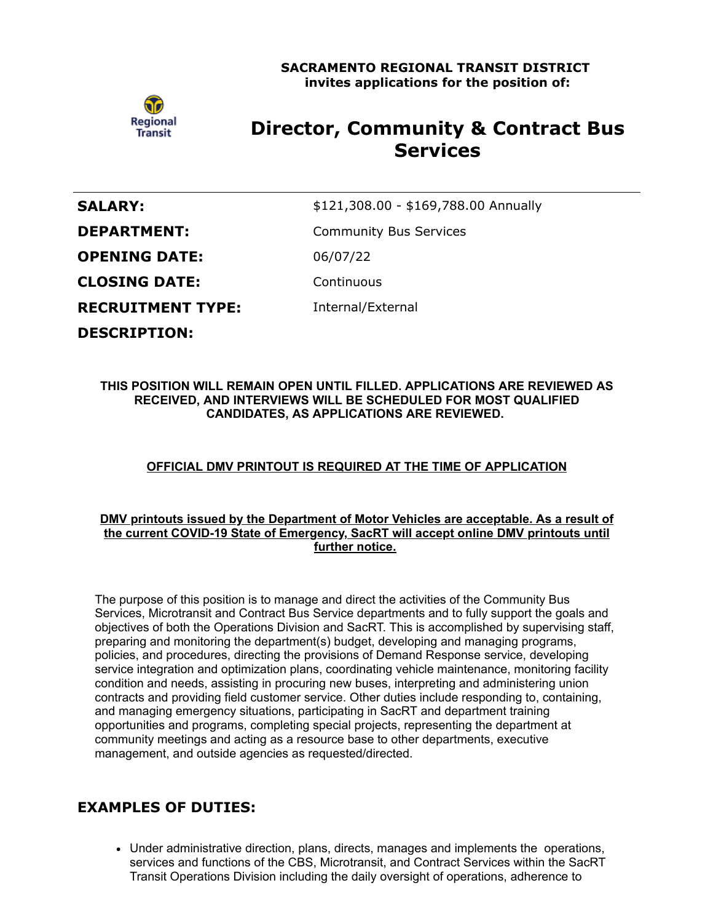

# **Director, Community & Contract Bus Services**

| <b>SALARY:</b>           | \$121,308.00 - \$169,788.00 Annually |
|--------------------------|--------------------------------------|
| <b>DEPARTMENT:</b>       | <b>Community Bus Services</b>        |
| <b>OPENING DATE:</b>     | 06/07/22                             |
| <b>CLOSING DATE:</b>     | Continuous                           |
| <b>RECRUITMENT TYPE:</b> | Internal/External                    |
| <b>DESCRIPTION:</b>      |                                      |

### **THIS POSITION WILL REMAIN OPEN UNTIL FILLED. APPLICATIONS ARE REVIEWED AS RECEIVED, AND INTERVIEWS WILL BE SCHEDULED FOR MOST QUALIFIED CANDIDATES, AS APPLICATIONS ARE REVIEWED.**

## **OFFICIAL DMV PRINTOUT IS REQUIRED AT THE TIME OF APPLICATION**

### **DMV printouts issued by the Department of Motor Vehicles are acceptable. As a result of the current COVID-19 State of Emergency, SacRT will accept online DMV printouts until further notice.**

The purpose of this position is to manage and direct the activities of the Community Bus Services, Microtransit and Contract Bus Service departments and to fully support the goals and objectives of both the Operations Division and SacRT. This is accomplished by supervising staff, preparing and monitoring the department(s) budget, developing and managing programs, policies, and procedures, directing the provisions of Demand Response service, developing service integration and optimization plans, coordinating vehicle maintenance, monitoring facility condition and needs, assisting in procuring new buses, interpreting and administering union contracts and providing field customer service. Other duties include responding to, containing, and managing emergency situations, participating in SacRT and department training opportunities and programs, completing special projects, representing the department at community meetings and acting as a resource base to other departments, executive management, and outside agencies as requested/directed.

# **EXAMPLES OF DUTIES:**

Under administrative direction, plans, directs, manages and implements the operations, services and functions of the CBS, Microtransit, and Contract Services within the SacRT Transit Operations Division including the daily oversight of operations, adherence to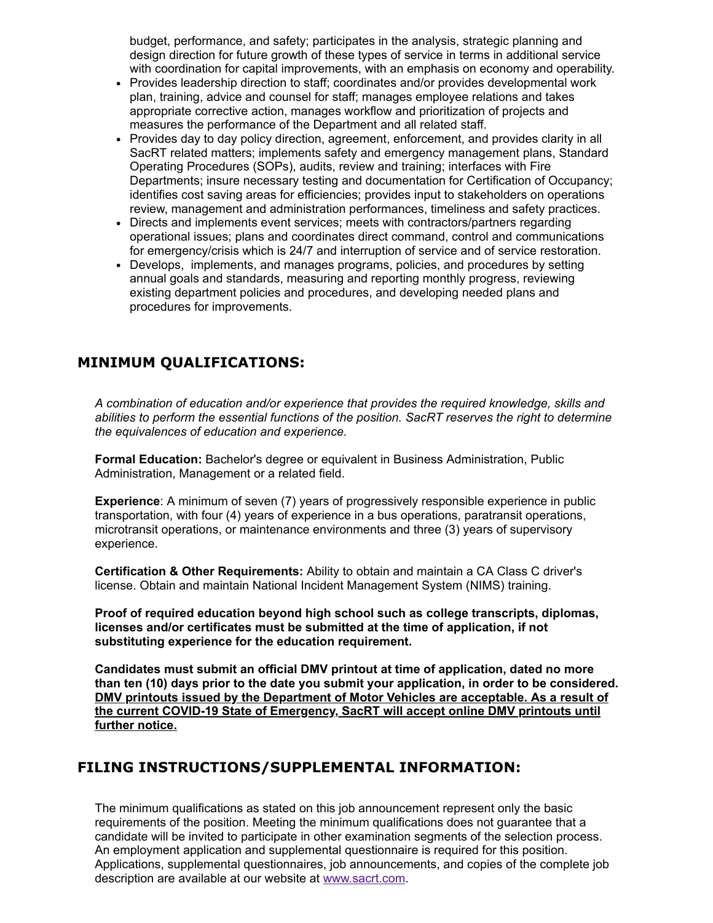budget, performance, and safety; participates in the analysis, strategic planning and design direction for future growth of these types of service in terms in additional service with coordination for capital improvements, with an emphasis on economy and operability.

- Provides leadership direction to staff; coordinates and/or provides developmental work plan, training, advice and counsel for staff; manages employee relations and takes appropriate corrective action, manages workflow and prioritization of projects and measures the performance of the Department and all related staff.
- Provides day to day policy direction, agreement, enforcement, and provides clarity in all SacRT related matters; implements safety and emergency management plans, Standard Operating Procedures (SOPs), audits, review and training; interfaces with Fire Departments; insure necessary testing and documentation for Certification of Occupancy; identifies cost saving areas for efficiencies; provides input to stakeholders on operations review, management and administration performances, timeliness and safety practices.
- Directs and implements event services; meets with contractors/partners regarding operational issues; plans and coordinates direct command, control and communications for emergency/crisis which is 24/7 and interruption of service and of service restoration.
- Develops, implements, and manages programs, policies, and procedures by setting annual goals and standards, measuring and reporting monthly progress, reviewing existing department policies and procedures, and developing needed plans and procedures for improvements.

# **MINIMUM QUALIFICATIONS:**

*A combination of education and/or experience that provides the required knowledge, skills and abilities to perform the essential functions of the position. SacRT reserves the right to determine the equivalences of education and experience.*

**Formal Education:** Bachelor's degree or equivalent in Business Administration, Public Administration, Management or a related field.

**Experience**: A minimum of seven (7) years of progressively responsible experience in public transportation, with four (4) years of experience in a bus operations, paratransit operations, microtransit operations, or maintenance environments and three (3) years of supervisory experience.

**Certification & Other Requirements:** Ability to obtain and maintain a CA Class C driver's license. Obtain and maintain National Incident Management System (NIMS) training.

**Proof of required education beyond high school such as college transcripts, diplomas, licenses and/or certificates must be submitted at the time of application, if not substituting experience for the education requirement.**

**Candidates must submit an official DMV printout at time of application, dated no more than ten (10) days prior to the date you submit your application, in order to be considered. DMV printouts issued by the Department of Motor Vehicles are acceptable. As a result of the current COVID-19 State of Emergency, SacRT will accept online DMV printouts until further notice.**

# **FILING INSTRUCTIONS/SUPPLEMENTAL INFORMATION:**

The minimum qualifications as stated on this job announcement represent only the basic requirements of the position. Meeting the minimum qualifications does not guarantee that a candidate will be invited to participate in other examination segments of the selection process. An employment application and supplemental questionnaire is required for this position. Applications, supplemental questionnaires, job announcements, and copies of the complete job description are available at our website at [www.sacrt.com.](http://www.sacrt.com/)